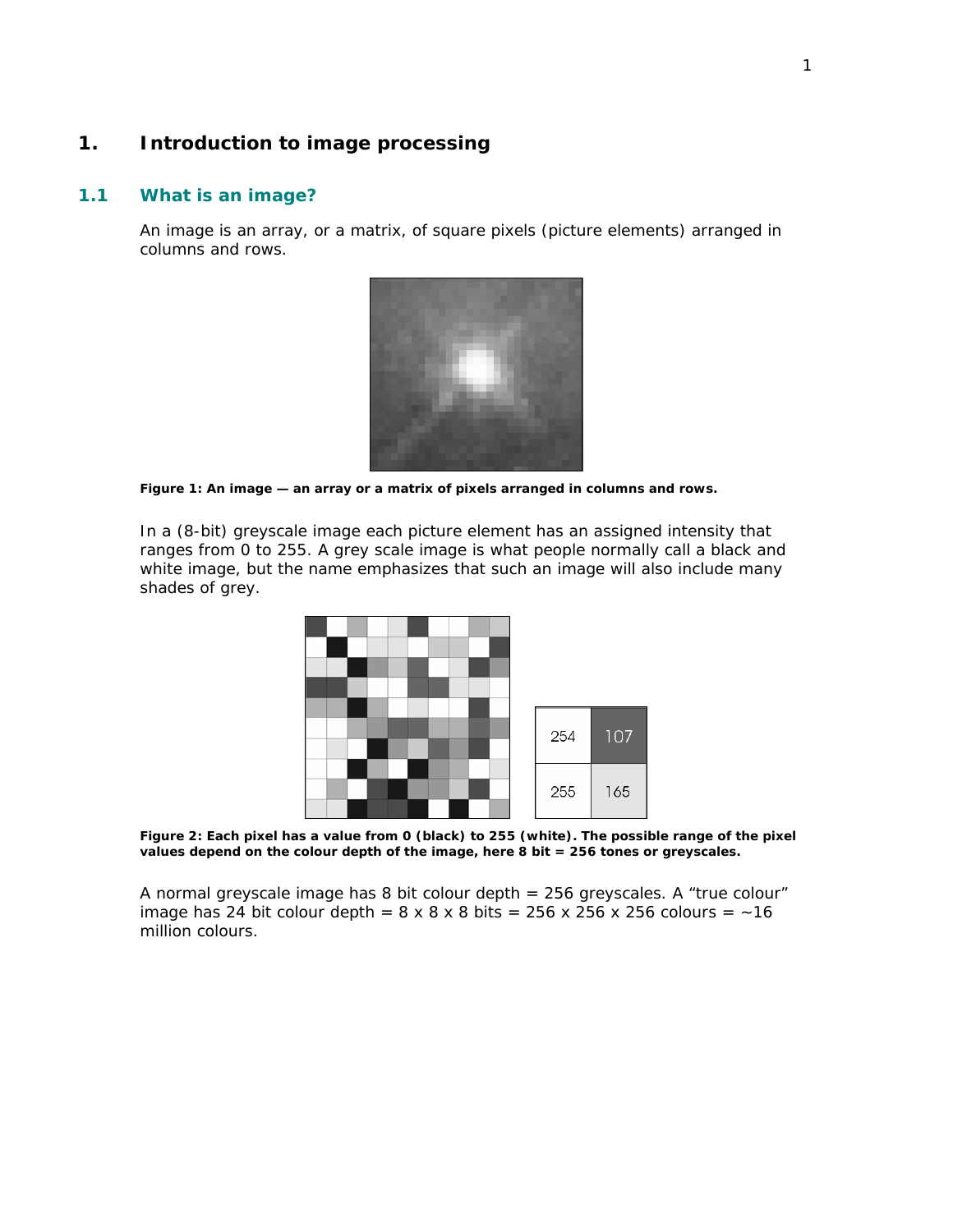# **1. Introduction to image processing**

## **1.1 What is an image?**

An image is an array, or a matrix, of square pixels (picture elements) arranged in columns and rows.



*Figure 1: An image — an array or a matrix of pixels arranged in columns and rows.* 

In a (8-bit) greyscale image each picture element has an assigned intensity that ranges from 0 to 255. A grey scale image is what people normally call a black and white image, but the name emphasizes that such an image will also include many shades of grey.



*Figure 2: Each pixel has a value from 0 (black) to 255 (white). The possible range of the pixel values depend on the colour depth of the image, here 8 bit = 256 tones or greyscales.* 

A normal greyscale image has 8 bit colour depth = 256 greyscales. A "true colour" image has 24 bit colour depth =  $8 \times 8 \times 8$  bits =  $256 \times 256 \times 256$  colours =  $\sim 16$ million colours.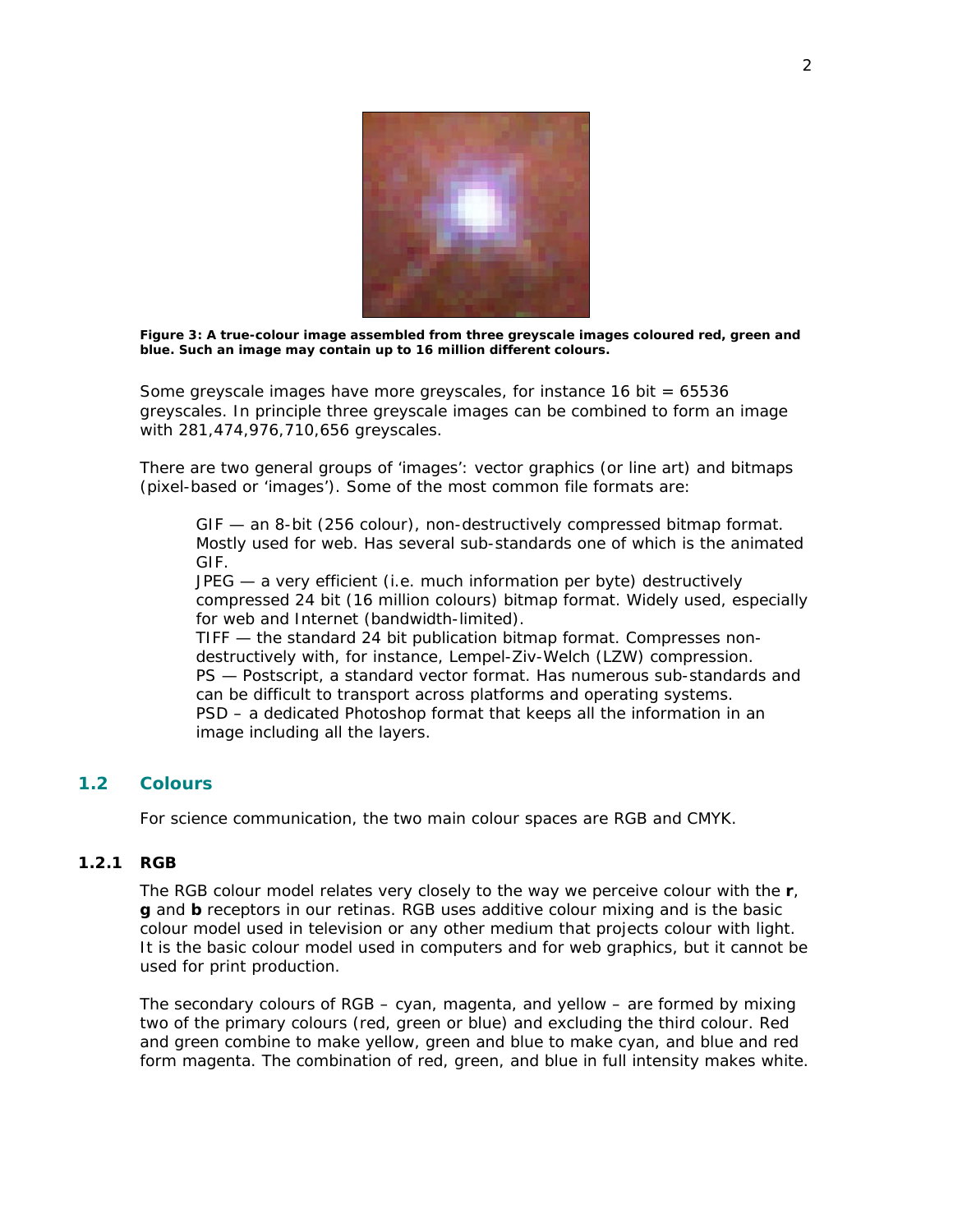

*Figure 3: A true-colour image assembled from three greyscale images coloured red, green and blue. Such an image may contain up to 16 million different colours.* 

Some greyscale images have more greyscales, for instance 16 bit = 65536 greyscales. In principle three greyscale images can be combined to form an image with 281,474,976,710,656 greyscales.

There are two general groups of 'images': vector graphics (or line art) and bitmaps (pixel-based or 'images'). Some of the most common file formats are:

GIF — an 8-bit (256 colour), non-destructively compressed bitmap format. Mostly used for web. Has several sub-standards one of which is the animated GIF.

JPEG — a very efficient (i.e. much information per byte) destructively compressed 24 bit (16 million colours) bitmap format. Widely used, especially for web and Internet (bandwidth-limited).

TIFF — the standard 24 bit publication bitmap format. Compresses nondestructively with, for instance, Lempel-Ziv-Welch (LZW) compression. PS — Postscript, a standard vector format. Has numerous sub-standards and can be difficult to transport across platforms and operating systems. PSD – a dedicated Photoshop format that keeps all the information in an image including all the layers.

# **1.2 Colours**

For science communication, the two main colour spaces are RGB and CMYK.

## **1.2.1 RGB**

The RGB colour model relates very closely to the way we perceive colour with the **r**, **g** and **b** receptors in our retinas. RGB uses additive colour mixing and is the basic colour model used in television or any other medium that projects colour with light. It is the basic colour model used in computers and for web graphics, but it cannot be used for print production.

The secondary colours of RGB – cyan, magenta, and yellow – are formed by mixing two of the primary colours (red, green or blue) and excluding the third colour. Red and green combine to make yellow, green and blue to make cyan, and blue and red form magenta. The combination of red, green, and blue in full intensity makes white.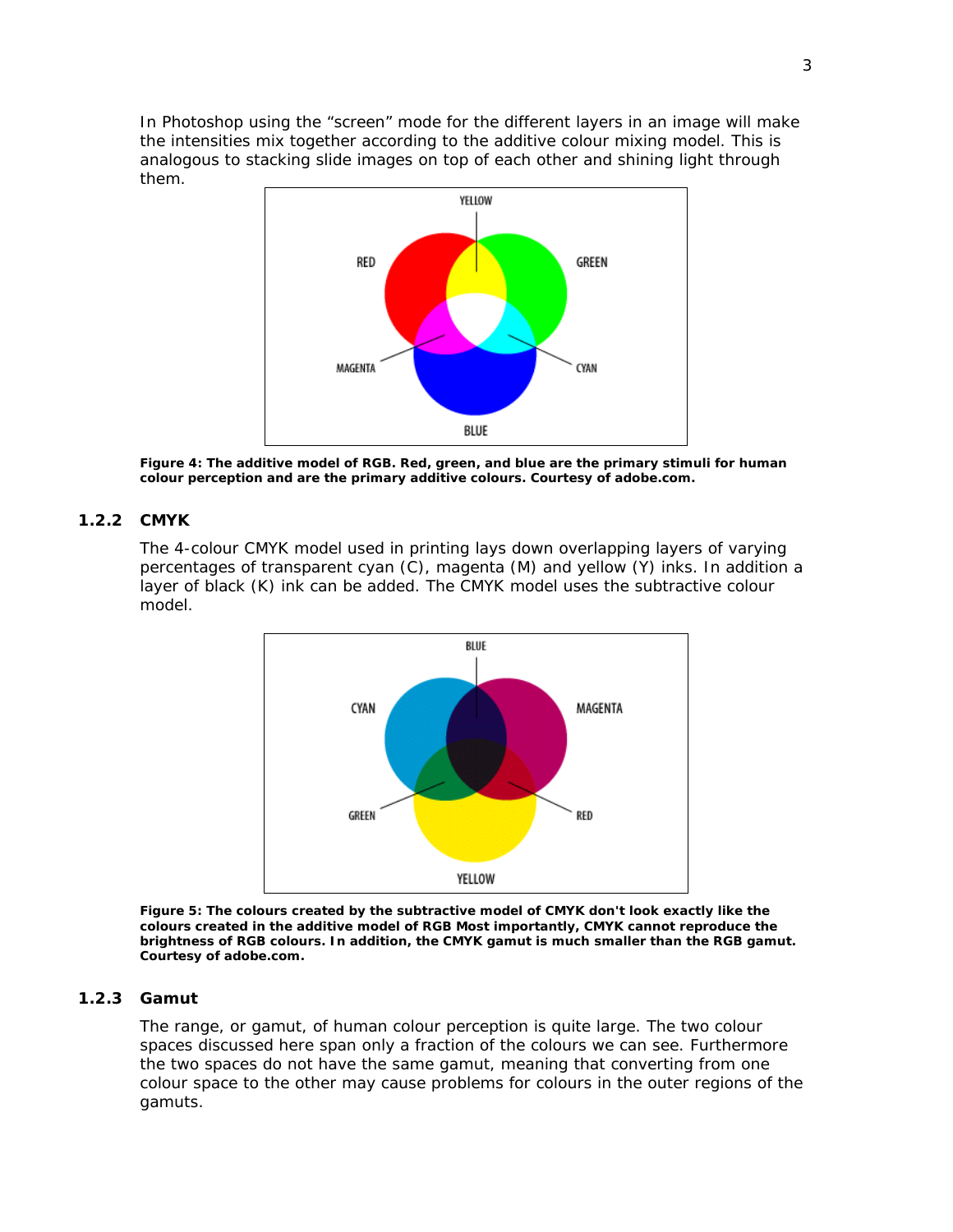In Photoshop using the "screen" mode for the different layers in an image will make the intensities mix together according to the additive colour mixing model. This is analogous to stacking slide images on top of each other and shining light through them.



*Figure 4: The additive model of RGB. Red, green, and blue are the primary stimuli for human colour perception and are the primary additive colours. Courtesy of adobe.com.*

## **1.2.2 CMYK**

The 4-colour CMYK model used in printing lays down overlapping layers of varying percentages of transparent cyan (C), magenta (M) and yellow (Y) inks. In addition a layer of black (K) ink can be added. The CMYK model uses the subtractive colour model.



*Figure 5: The colours created by the subtractive model of CMYK don't look exactly like the colours created in the additive model of RGB Most importantly, CMYK cannot reproduce the brightness of RGB colours. In addition, the CMYK gamut is much smaller than the RGB gamut. Courtesy of adobe.com.*

# **1.2.3 Gamut**

The range, or gamut, of human colour perception is quite large. The two colour spaces discussed here span only a fraction of the colours we can see. Furthermore the two spaces do not have the same gamut, meaning that converting from one colour space to the other may cause problems for colours in the outer regions of the gamuts.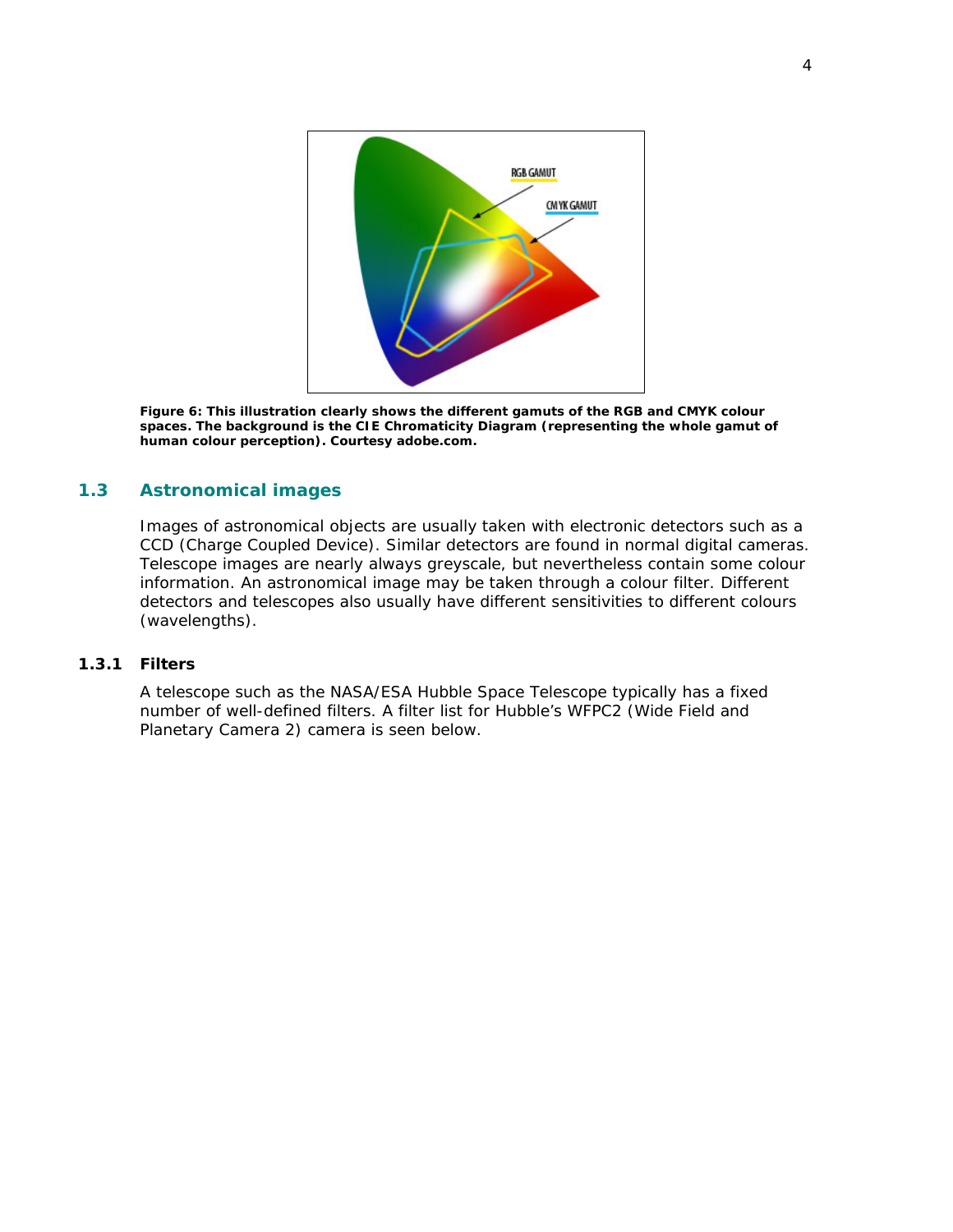

*Figure 6: This illustration clearly shows the different gamuts of the RGB and CMYK colour spaces. The background is the CIE Chromaticity Diagram (representing the whole gamut of human colour perception). Courtesy adobe.com.*

# **1.3 Astronomical images**

Images of astronomical objects are usually taken with electronic detectors such as a CCD (Charge Coupled Device). Similar detectors are found in normal digital cameras. Telescope images are nearly always greyscale, but nevertheless contain some colour information. An astronomical image may be taken through a colour filter. Different detectors and telescopes also usually have different sensitivities to different colours (wavelengths).

# **1.3.1 Filters**

A telescope such as the NASA/ESA Hubble Space Telescope typically has a fixed number of well-defined filters. A filter list for Hubble's WFPC2 (Wide Field and Planetary Camera 2) camera is seen below.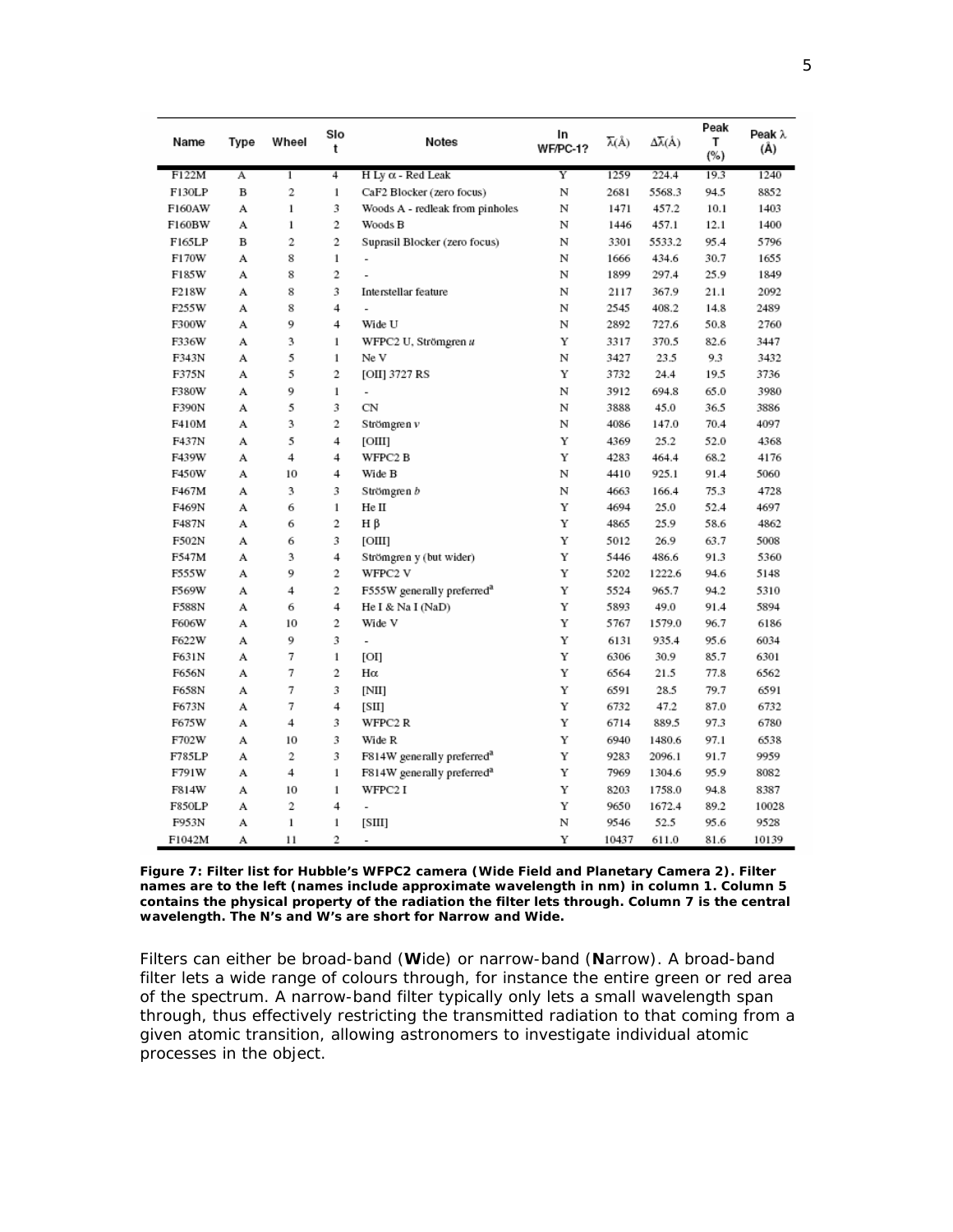| Name   | Type | Wheel          | Slo<br>t       | Notes                                  | In<br>WF/PC-1? | λ(Å)  | $\Delta\overline{\lambda}(\AA)$ | Peak<br>т<br>(%) | Peak λ<br>(Å) |
|--------|------|----------------|----------------|----------------------------------------|----------------|-------|---------------------------------|------------------|---------------|
| F122M  | Α    | $\mathbf{1}$   | 4              | $H$ Ly $\alpha$ - Red Leak             | Y              | 1259  | 224.4                           | 19.3             | 1240          |
| F130LP | B    | $\mathbf{2}$   | $\mathbf{1}$   | CaF2 Blocker (zero focus)              | N              | 2681  | 5568.3                          | 94.5             | 8852          |
| F160AW | А    | 1              | 3              | Woods A - redleak from pinholes        | N              | 1471  | 457.2                           | 10.1             | 1403          |
| F160BW | A    | 1              | 2              | Woods B                                | N              | 1446  | 457.1                           | 12.1             | 1400          |
| F165LP | B    | $\overline{2}$ | $\overline{2}$ | Suprasil Blocker (zero focus)          | N              | 3301  | 5533.2                          | 95.4             | 5796          |
| F170W  | А    | 8              | $\mathbf{1}$   | $\overline{a}$                         | N              | 1666  | 434.6                           | 30.7             | 1655          |
| F185W  | A    | 8              | $\overline{c}$ |                                        | N              | 1899  | 297.4                           | 25.9             | 1849          |
| F218W  | А    | 8              | 3              | Interstellar feature                   | N              | 2117  | 367.9                           | 21.1             | 2092          |
| F255W  | А    | 8              | 4              |                                        | N              | 2545  | 408.2                           | 14.8             | 2489          |
| F300W  | А    | 9              | 4              | Wide U                                 | N              | 2892  | 727.6                           | 50.8             | 2760          |
| F336W  | А    | 3              | $\mathbf{1}$   | WFPC2 U, Strömgren u                   | Y              | 3317  | 370.5                           | 82.6             | 3447          |
| F343N  | А    | 5              | 1              | Ne V                                   | N              | 3427  | 23.5                            | 9.3              | 3432          |
| F375N  | А    | 5              | 2              | [OII] 3727 RS                          | Y              | 3732  | 24.4                            | 19.5             | 3736          |
| F380W  | А    | 9              | 1              | $\overline{a}$                         | N              | 3912  | 694.8                           | 65.0             | 3980          |
| F390N  | A    | 5              | 3              | CN                                     | N              | 3888  | 45.0                            | 36.5             | 3886          |
| F410M  | А    | 3              | 2              | Strömgren v                            | N              | 4086  | 147.0                           | 70.4             | 4097          |
| F437N  | А    | 5              | 4              | [OIII]                                 | Y              | 4369  | 25.2                            | 52.0             | 4368          |
| F439W  | А    | 4              | 4              | WFPC2 B                                | Y              | 4283  | 464.4                           | 68.2             | 4176          |
| F450W  | А    | 10             | 4              | Wide B                                 | N              | 4410  | 925.1                           | 91.4             | 5060          |
| F467M  | А    | 3              | 3              | Strömgren b                            | N              | 4663  | 166.4                           | 75.3             | 4728          |
| F469N  | A    | 6              | $\,1$          | Не II                                  | Y              | 4694  | 25.0                            | 52.4             | 4697          |
| F487N  | А    | 6              | 2              | Нβ                                     | Y              | 4865  | 25.9                            | 58.6             | 4862          |
| F502N  | А    | 6              | 3              | [ОШ]                                   | Y              | 5012  | 26.9                            | 63.7             | 5008          |
| F547M  | А    | 3              | 4              | Strömgren y (but wider)                | Y              | 5446  | 486.6                           | 91.3             | 5360          |
| F555W  | А    | 9              | 2              | WFPC2 V                                | Y              | 5202  | 1222.6                          | 94.6             | 5148          |
| F569W  | А    | 4              | 2              | F555W generally preferred <sup>a</sup> | Y              | 5524  | 965.7                           | 94.2             | 5310          |
| F588N  | А    | 6              | 4              | He I & Na I (NaD)                      | Y              | 5893  | 49.0                            | 91.4             | 5894          |
| F606W  | А    | 10             | 2              | Wide V                                 | Y              | 5767  | 1579.0                          | 96.7             | 6186          |
| F622W  | А    | 9              | 3              | L,                                     | Y              | 6131  | 935.4                           | 95.6             | 6034          |
| F631N  | А    | 7              | 1              | ΙОΙ                                    | Y              | 6306  | 30.9                            | 85.7             | 6301          |
| F656N  | А    | 7              | 2              | Ηα                                     | Y              | 6564  | 21.5                            | 77.8             | 6562          |
| F658N  | А    | 7              | 3              | [NII]                                  | Y              | 6591  | 28.5                            | 79.7             | 6591          |
| F673N  | А    | 7              | 4              | [SII]                                  | Y              | 6732  | 47.2                            | 87.0             | 6732          |
| F675W  | A    | 4              | 3              | WFPC2R                                 | Y              | 6714  | 889.5                           | 97.3             | 6780          |
| F702W  | А    | 10             | 3              | Wide R                                 | Y              | 6940  | 1480.6                          | 97.1             | 6538          |
| F785LP | А    | 2              | 3              | F814W generally preferred <sup>a</sup> | Y              | 9283  | 2096.1                          | 91.7             | 9959          |
| F791W  | А    | 4              | 1              | F814W generally preferred <sup>a</sup> | Υ              | 7969  | 1304.6                          | 95.9             | 8082          |
| F814W  | А    | 10             | $\mathbf{1}$   | WFPC2 I                                | Y              | 8203  | 1758.0                          | 94.8             | 8387          |
| F850LP | A    | 2              | 4              | $\overline{a}$                         | Y              | 9650  | 1672.4                          | 89.2             | 10028         |
| F953N  | A    | $\mathbf{1}$   | 1              | SШ                                     | N              | 9546  | 52.5                            | 95.6             | 9528          |
| F1042M | А    | 11             | 2              | $\frac{1}{2}$                          | Y              | 10437 | 611.0                           | 81.6             | 10139         |

*Figure 7: Filter list for Hubble's WFPC2 camera (Wide Field and Planetary Camera 2). Filter names are to the left (names include approximate wavelength in nm) in column 1. Column 5 contains the physical property of the radiation the filter lets through. Column 7 is the central wavelength. The N's and W's are short for Narrow and Wide.* 

Filters can either be broad-band (**W**ide) or narrow-band (**N**arrow). A broad-band filter lets a wide range of colours through, for instance the entire green or red area of the spectrum. A narrow-band filter typically only lets a small wavelength span through, thus effectively restricting the transmitted radiation to that coming from a given atomic transition, allowing astronomers to investigate individual atomic processes in the object.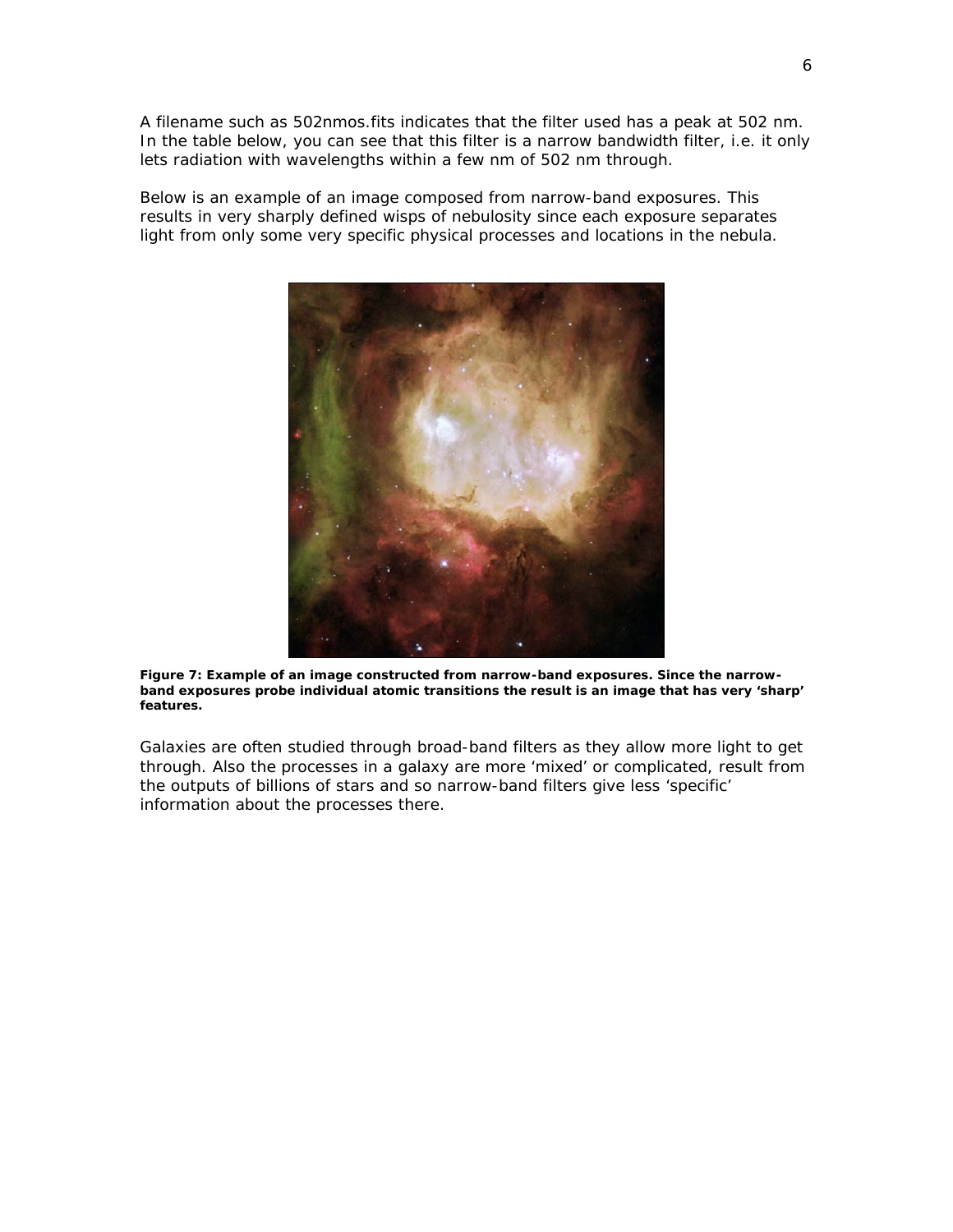A filename such as 502nmos.fits indicates that the filter used has a peak at 502 nm. In the table below, you can see that this filter is a narrow bandwidth filter, i.e. it only lets radiation with wavelengths within a few nm of 502 nm through.

Below is an example of an image composed from narrow-band exposures. This results in very sharply defined wisps of nebulosity since each exposure separates light from only some very specific physical processes and locations in the nebula.



*Figure 7: Example of an image constructed from narrow-band exposures. Since the narrowband exposures probe individual atomic transitions the result is an image that has very 'sharp' features.* 

Galaxies are often studied through broad-band filters as they allow more light to get through. Also the processes in a galaxy are more 'mixed' or complicated, result from the outputs of billions of stars and so narrow-band filters give less 'specific' information about the processes there.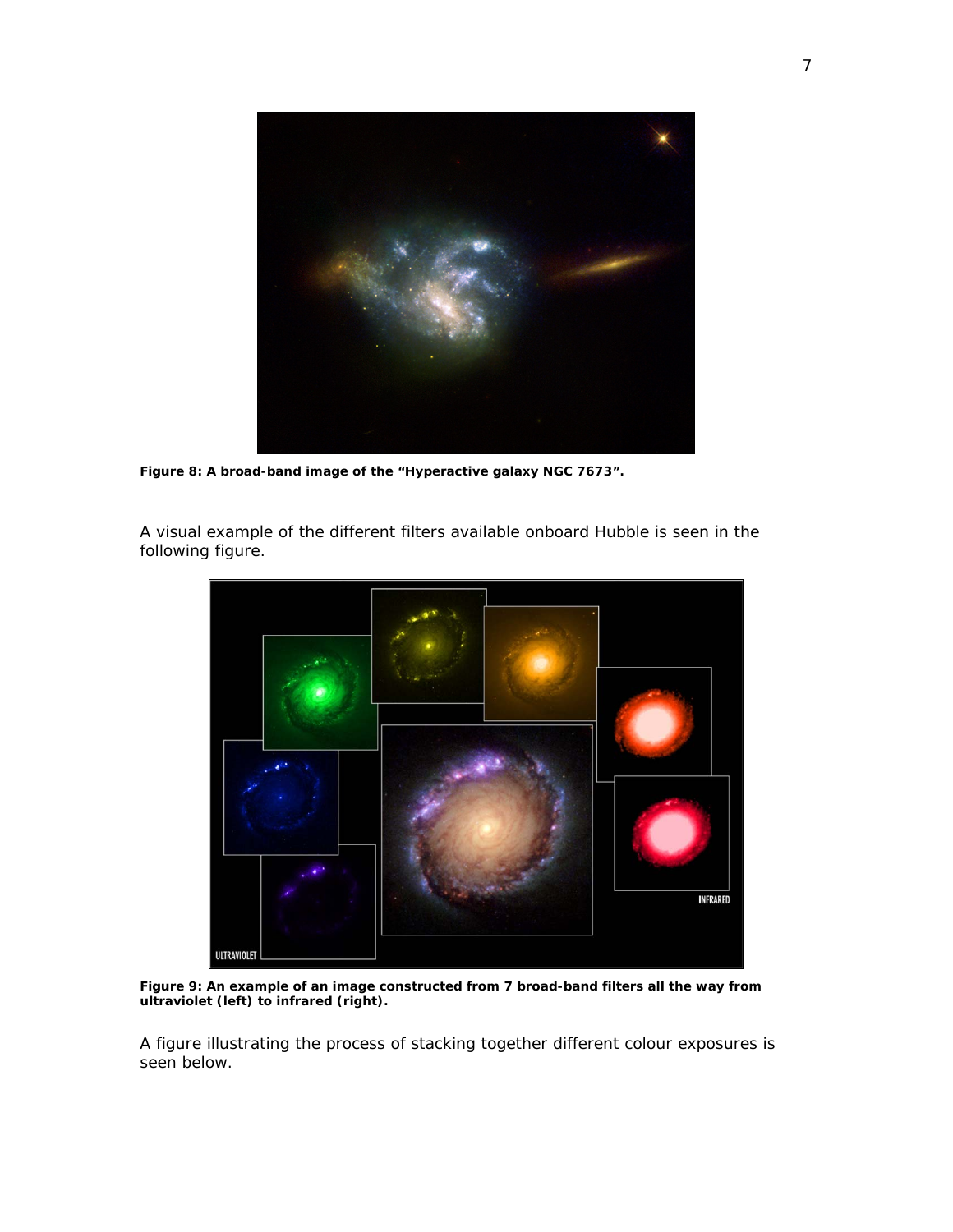

*Figure 8: A broad-band image of the "Hyperactive galaxy NGC 7673".* 

A visual example of the different filters available onboard Hubble is seen in the following figure.



*Figure 9: An example of an image constructed from 7 broad-band filters all the way from ultraviolet (left) to infrared (right).*

A figure illustrating the process of stacking together different colour exposures is seen below.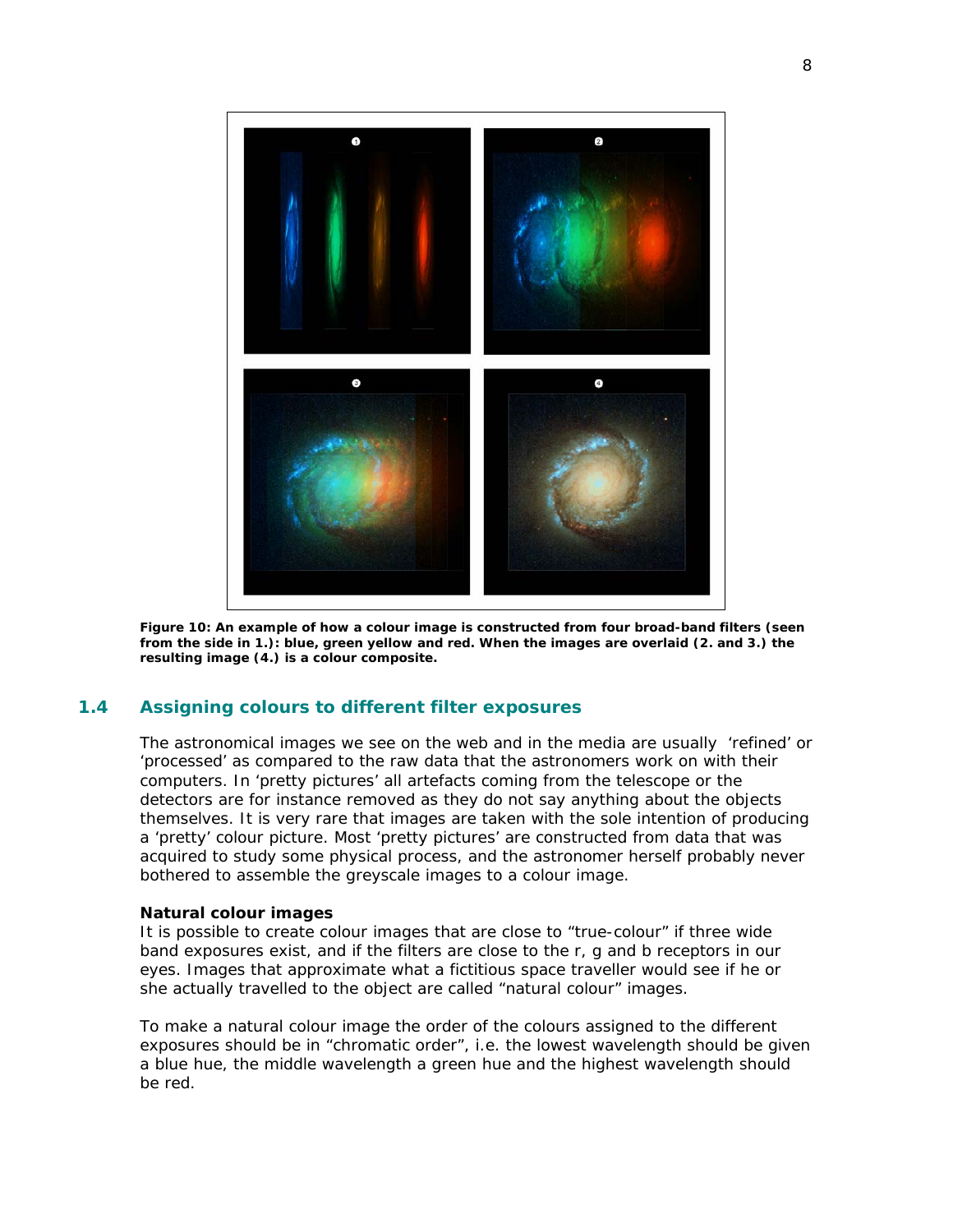

*Figure 10: An example of how a colour image is constructed from four broad-band filters (seen from the side in 1.): blue, green yellow and red. When the images are overlaid (2. and 3.) the resulting image (4.) is a colour composite.* 

# **1.4 Assigning colours to different filter exposures**

The astronomical images we see on the web and in the media are usually 'refined' or 'processed' as compared to the raw data that the astronomers work on with their computers. In 'pretty pictures' all artefacts coming from the telescope or the detectors are for instance removed as they do not say anything about the objects themselves. It is very rare that images are taken with the sole intention of producing a 'pretty' colour picture. Most 'pretty pictures' are constructed from data that was acquired to study some physical process, and the astronomer herself probably never bothered to assemble the greyscale images to a colour image.

#### **Natural colour images**

It is possible to create colour images that are close to "true-colour" if three wide band exposures exist, and if the filters are close to the r, g and b receptors in our eyes. Images that approximate what a fictitious space traveller would see if he or she actually travelled to the object are called "natural colour" images.

To make a natural colour image the order of the colours assigned to the different exposures should be in "chromatic order", i.e. the lowest wavelength should be given a blue hue, the middle wavelength a green hue and the highest wavelength should be red.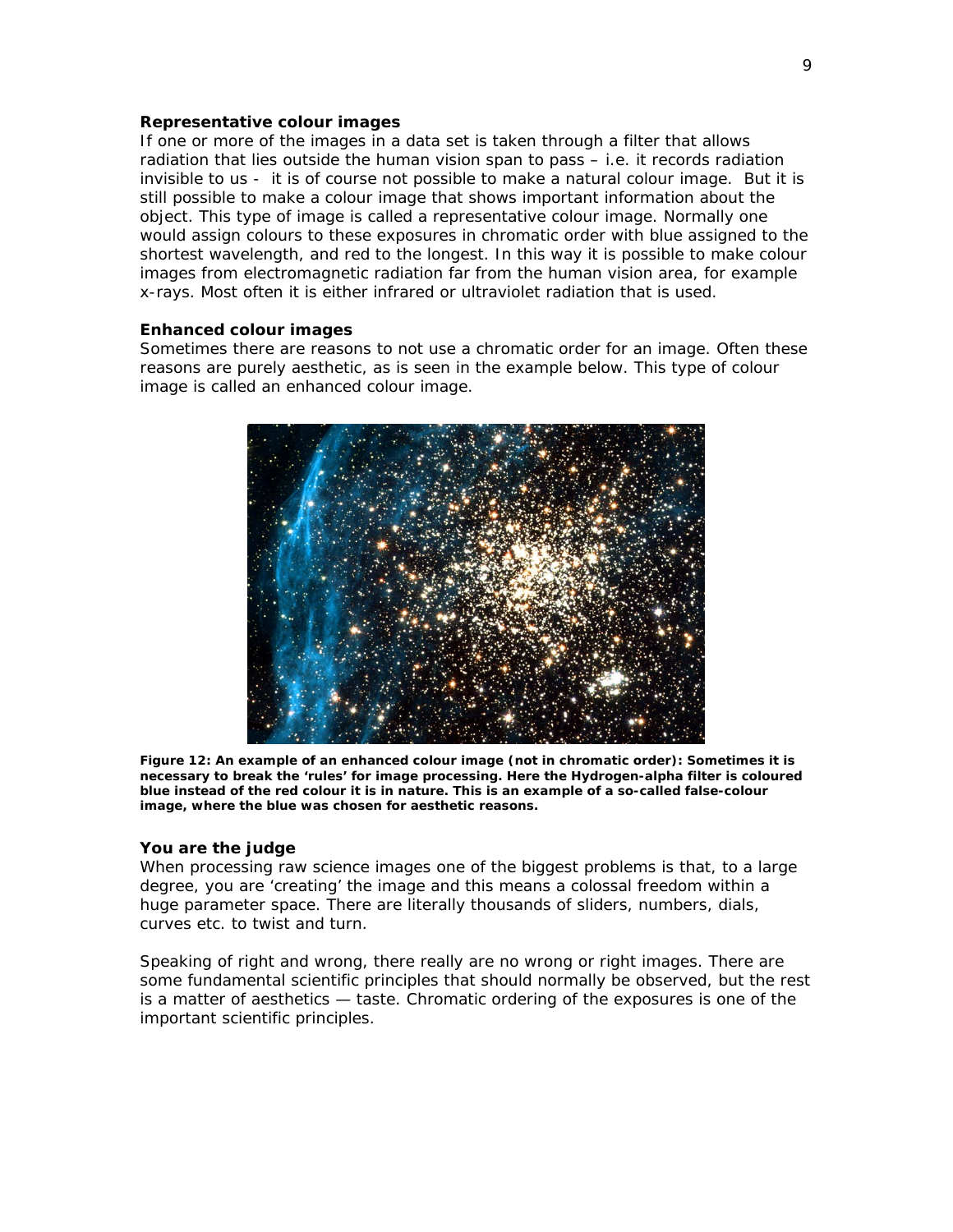#### **Representative colour images**

If one or more of the images in a data set is taken through a filter that allows radiation that lies outside the human vision span to pass – i.e. it records radiation invisible to us - it is of course not possible to make a natural colour image. But it is still possible to make a colour image that shows important information about the object. This type of image is called a representative colour image. Normally one would assign colours to these exposures in chromatic order with blue assigned to the shortest wavelength, and red to the longest. In this way it is possible to make colour images from electromagnetic radiation far from the human vision area, for example x-rays. Most often it is either infrared or ultraviolet radiation that is used.

## **Enhanced colour images**

Sometimes there are reasons to not use a chromatic order for an image. Often these reasons are purely aesthetic, as is seen in the example below. This type of colour image is called an enhanced colour image.



*Figure 12: An example of an enhanced colour image (not in chromatic order): Sometimes it is necessary to break the 'rules' for image processing. Here the Hydrogen-alpha filter is coloured blue instead of the red colour it is in nature. This is an example of a so-called false-colour image, where the blue was chosen for aesthetic reasons.*

#### **You are the judge**

When processing raw science images one of the biggest problems is that, to a large degree, you are 'creating' the image and this means a colossal freedom within a huge parameter space. There are literally thousands of sliders, numbers, dials, curves etc. to twist and turn.

Speaking of right and wrong, there really are no wrong or right images. There are some fundamental scientific principles that should normally be observed, but the rest is a matter of aesthetics — taste. Chromatic ordering of the exposures is one of the important scientific principles.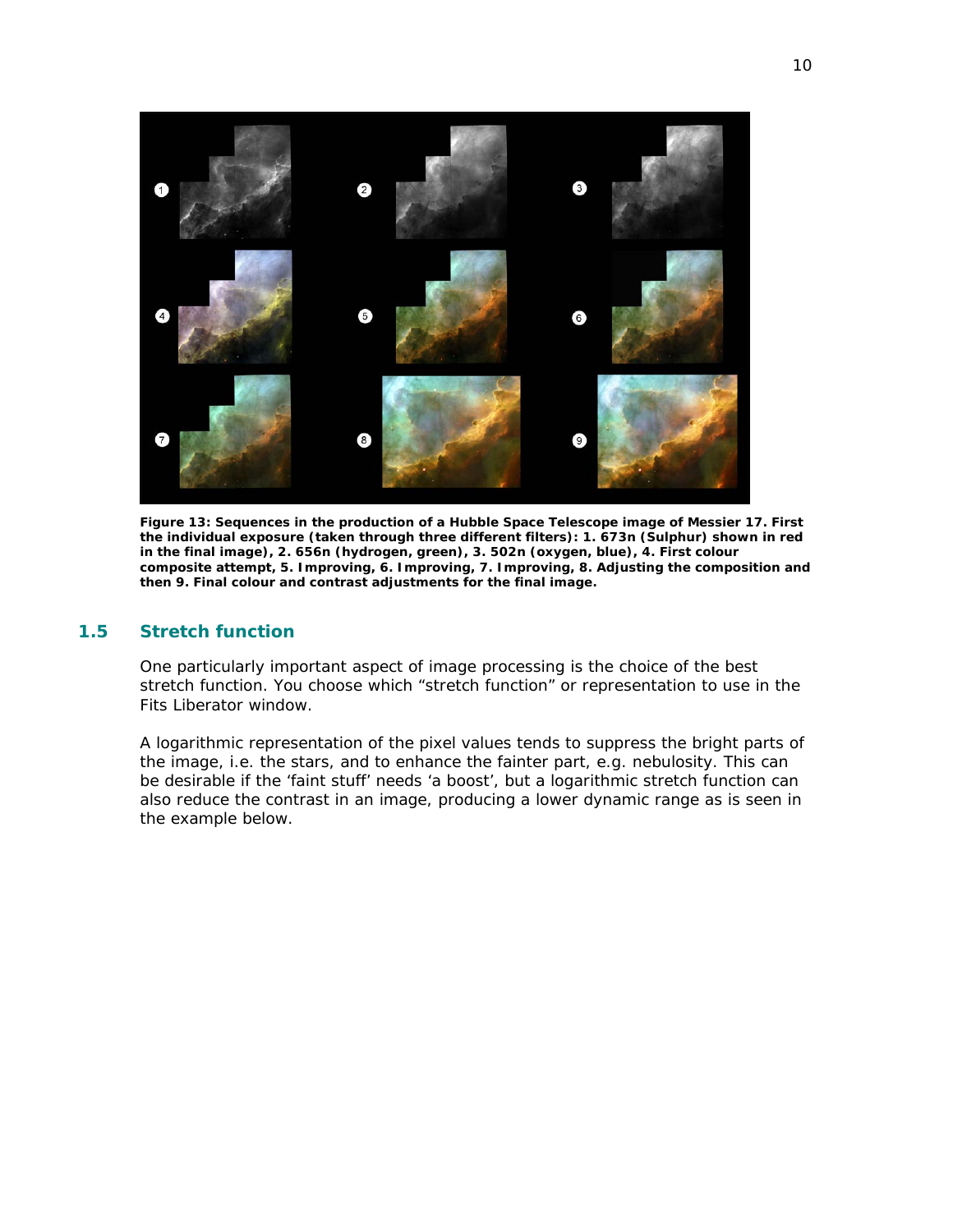

*Figure 13: Sequences in the production of a Hubble Space Telescope image of Messier 17. First the individual exposure (taken through three different filters): 1. 673n (Sulphur) shown in red in the final image), 2. 656n (hydrogen, green), 3. 502n (oxygen, blue), 4. First colour composite attempt, 5. Improving, 6. Improving, 7. Improving, 8. Adjusting the composition and then 9. Final colour and contrast adjustments for the final image.* 

# **1.5 Stretch function**

One particularly important aspect of image processing is the choice of the best stretch function. You choose which "stretch function" or representation to use in the Fits Liberator window.

A logarithmic representation of the pixel values tends to suppress the bright parts of the image, i.e. the stars, and to enhance the fainter part, e.g. nebulosity. This can be desirable if the 'faint stuff' needs 'a boost', but a logarithmic stretch function can also reduce the contrast in an image, producing a lower dynamic range as is seen in the example below.